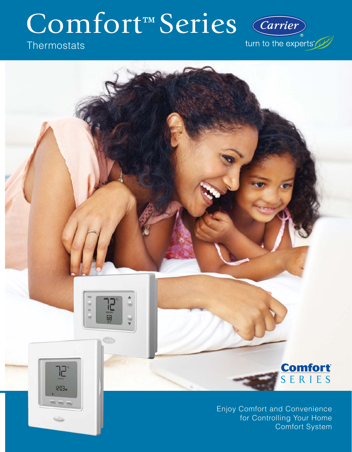# Comfort™ Series

# **Thermostats**

W  $\ln$ 

w

כן

12:03~

ame) away) sleep.)

68

щ

turn to the experts"

Carrier



Enjoy Comfort and Convenience for Controlling Your Home Comfort System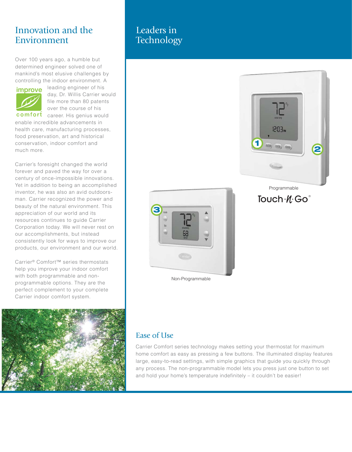## Innovation and the Environment

Over 100 years ago, a humble but determined engineer solved one of mankind's most elusive challenges by controlling the indoor environment. A



leading engineer of his day, Dr. Willis Carrier would file more than 80 patents over the course of his

comfort career. His genius would enable incredible advancements in health care, manufacturing processes, food preservation, art and historical conservation, indoor comfort and much more.

Carrier's foresight changed the world forever and paved the way for over a century of once-impossible innovations. Yet in addition to being an accomplished inventor, he was also an avid outdoorsman. Carrier recognized the power and beauty of the natural environment. This appreciation of our world and its resources continues to guide Carrier Corporation today. We will never rest on our accomplishments, but instead consistently look for ways to improve our products, our environment and our world.

Carrier® Comfort™ series thermostats help you improve your indoor comfort with both programmable and nonprogrammable options. They are the perfect complement to your complete Carrier indoor comfort system.



## Leaders in **Technology**



Programmable

## Touch . *N*. Go<sup>®</sup>



Non-Programmable

## Ease of Use

Carrier Comfort series technology makes setting your thermostat for maximum home comfort as easy as pressing a few buttons. The illuminated display features large, easy-to-read settings, with simple graphics that guide you quickly through any process. The non-programmable model lets you press just one button to set and hold your home's temperature indefinitely – it couldn't be easier!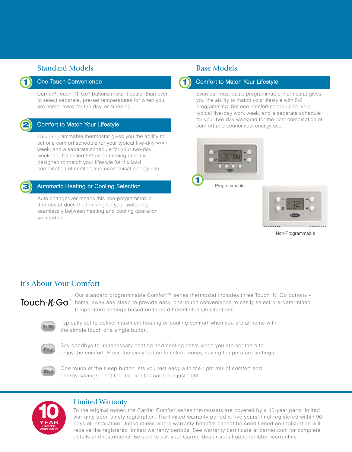## Standard Models **Base Models**

#### One-Touch Convenience

Carrier® Touch 'N' Go® buttons make it easier than ever to select separate, pre-set temperatures for when you are home, away for the day, or sleeping.

## **2**

**1**

#### Comfort to Match Your Lifestyle

This programmable thermostat gives you the ability to set one comfort schedule for your typical five-day work week, and a separate schedule for your two-day weekend. It's called 5/2 programming and it is designed to match your lifestyle for the best combination of comfort and economical energy use.



#### Automatic Heating or Cooling Selection

Auto changeover means this non-programmable thermostat does the thinking for you, switching seamlessly between heating and cooling operation as needed.



#### Comfort to Match Your Lifestyle

Even our most basic programmable thermostat gives you the ability to match your lifestyle with 5/2 programming. Set one comfort schedule for your typical five-day work week, and a separate schedule for your two-day weekend for the best combination of comfort and economical energy use.







Non-Programmable

### It's About Your Comfort

Our standard programmable Comfort™ series thermostat includes three Touch 'N' Go buttons –  $\degree$  home, away and sleep to provide easy, one-touch convenience to easily select pre-determined temperature settings based on three different lifestyle situations.



Typically set to deliver maximum heating or cooling comfort when you are at home with the simple touch of a single button.



Say goodbye to unnecessary heating and cooling costs when you are not there to enjoy the comfort. Press the away button to select money-saving temperature settings.



One touch of the sleep button lets you rest easy with the right mix of comfort and energy savings – not too hot, not too cold, but just right.



#### Limited Warranty

To the original owner, the Carrier Comfort series thermostats are covered by a 10-year parts limited warranty upon timely registration. The limited warranty period is five years if not registered within 90 days of installation. Jurisdictions where warranty benefits cannot be conditioned on registration will receive the registered limited warranty periods. See warranty certificate at carrier.com for complete details and restrictions. Be sure to ask your Carrier dealer about optional labor warranties.